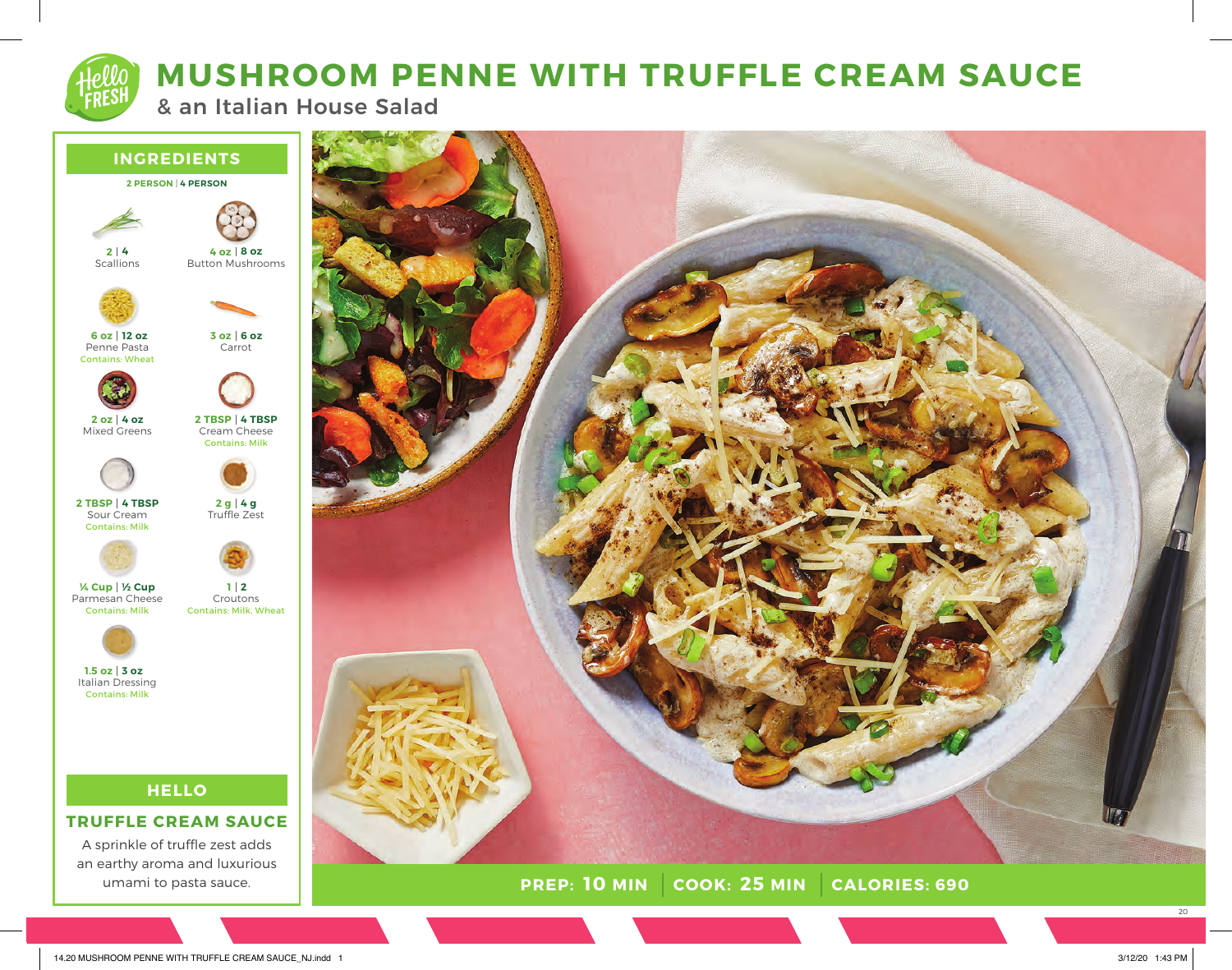

## **MUSHROOM PENNE WITH TRUFFLE CREAM SAUCE**

& an Italian House Salad







**PREP: 10 MIN COOK: 25 MIN CALORIES: 690** 

20